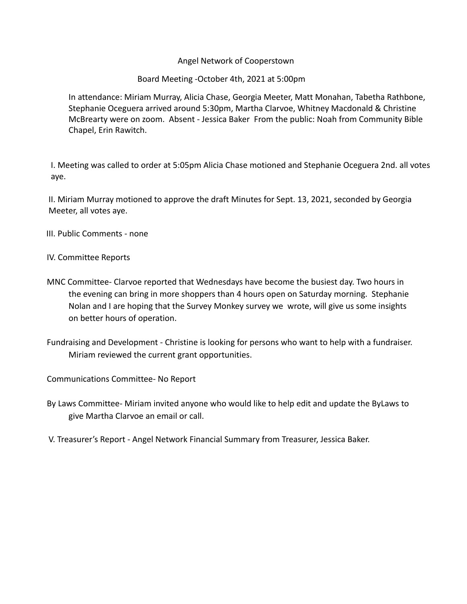## Angel Network of Cooperstown

## Board Meeting -October 4th, 2021 at 5:00pm

In attendance: Miriam Murray, Alicia Chase, Georgia Meeter, Matt Monahan, Tabetha Rathbone, Stephanie Oceguera arrived around 5:30pm, Martha Clarvoe, Whitney Macdonald & Christine McBrearty were on zoom. Absent - Jessica Baker From the public: Noah from Community Bible Chapel, Erin Rawitch.

I. Meeting was called to order at 5:05pm Alicia Chase motioned and Stephanie Oceguera 2nd. all votes aye.

II. Miriam Murray motioned to approve the draft Minutes for Sept. 13, 2021, seconded by Georgia Meeter, all votes aye.

- III. Public Comments none
- IV. Committee Reports
- MNC Committee- Clarvoe reported that Wednesdays have become the busiest day. Two hours in the evening can bring in more shoppers than 4 hours open on Saturday morning. Stephanie Nolan and I are hoping that the Survey Monkey survey we wrote, will give us some insights on better hours of operation.
- Fundraising and Development Christine is looking for persons who want to help with a fundraiser. Miriam reviewed the current grant opportunities.

Communications Committee- No Report

- By Laws Committee- Miriam invited anyone who would like to help edit and update the ByLaws to give Martha Clarvoe an email or call.
- V. Treasurer's Report Angel Network Financial Summary from Treasurer, Jessica Baker.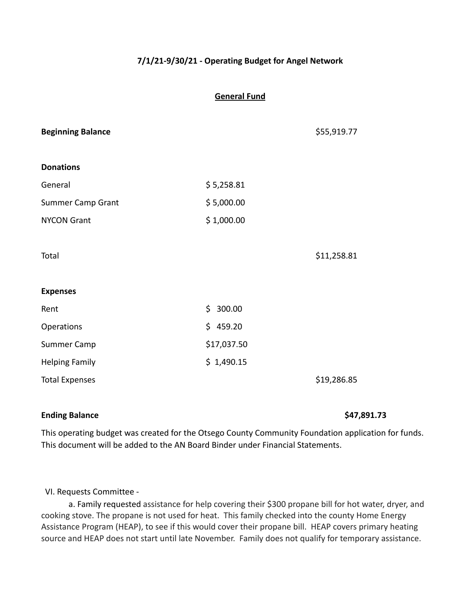# **7/1/21-9/30/21 - Operating Budget for Angel Network**

## **General Fund**

|             | \$55,919.77 |
|-------------|-------------|
|             |             |
| \$5,258.81  |             |
| \$5,000.00  |             |
| \$1,000.00  |             |
|             |             |
|             | \$11,258.81 |
|             |             |
|             |             |
| \$300.00    |             |
| \$459.20    |             |
| \$17,037.50 |             |
| \$1,490.15  |             |
|             | \$19,286.85 |
|             |             |

# **Ending Balance \$47,891.73**

This operating budget was created for the Otsego County Community Foundation application for funds. This document will be added to the AN Board Binder under Financial Statements.

## VI. Requests Committee -

a. Family requested assistance for help covering their \$300 propane bill for hot water, dryer, and cooking stove. The propane is not used for heat. This family checked into the county Home Energy Assistance Program (HEAP), to see if this would cover their propane bill. HEAP covers primary heating source and HEAP does not start until late November. Family does not qualify for temporary assistance.